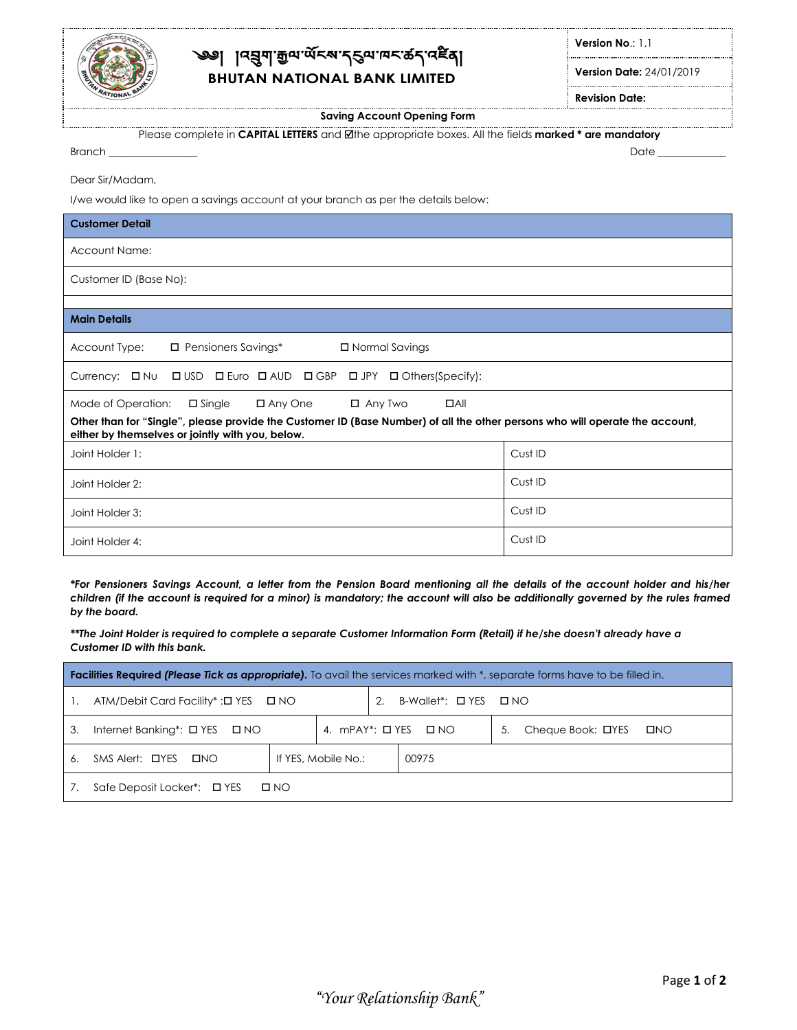

# ক্তা ।<mark>ওৰ্শ্ৰ</mark>নাক্সি<sub>ন পূ</sub>দ্দে প্ৰয়োদ্ৰ পূৰ্ব প্ৰয় **BHUTAN NATIONAL BANK LIMITED**

**Version No**.: 1.1

**Version Date:** 24/01/2019

**Revision Date:**

**Saving Account Opening Form**

Please complete in **CAPITAL LETTERS** and the appropriate boxes. Allthe fields **marked \* are mandatory**

Branch \_\_\_\_\_\_\_\_\_\_\_\_\_\_\_\_\_ Date \_\_\_\_\_\_\_\_\_\_\_\_\_

Dear Sir/Madam,

I/we would like to open a savings account at your branch as per the details below:

| <b>Customer Detail</b>                                                                                                                                                           |  |  |  |  |  |
|----------------------------------------------------------------------------------------------------------------------------------------------------------------------------------|--|--|--|--|--|
| Account Name:                                                                                                                                                                    |  |  |  |  |  |
| Customer ID (Base No):                                                                                                                                                           |  |  |  |  |  |
|                                                                                                                                                                                  |  |  |  |  |  |
| <b>Main Details</b>                                                                                                                                                              |  |  |  |  |  |
| $\Box$ Pensioners Savings*<br>Account Type:<br>□ Normal Savings                                                                                                                  |  |  |  |  |  |
| Currency: ONU OUSD OEuro OAUD OGBP OUPY OOthers(Specify):                                                                                                                        |  |  |  |  |  |
| Mode of Operation:<br>$\square$ Single<br>$\Box$ All<br>$\Box$ Any One<br>$\Box$ Any Two                                                                                         |  |  |  |  |  |
| Other than for "Single", please provide the Customer ID (Base Number) of all the other persons who will operate the account,<br>either by themselves or jointly with you, below. |  |  |  |  |  |
| Joint Holder 1:<br>Cust ID                                                                                                                                                       |  |  |  |  |  |
| Cust ID<br>Joint Holder 2:                                                                                                                                                       |  |  |  |  |  |
| Cust ID<br>Joint Holder 3:                                                                                                                                                       |  |  |  |  |  |
| Cust ID<br>Joint Holder 4:                                                                                                                                                       |  |  |  |  |  |

\*For Pensioners Savings Account, a letter from the Pension Board mentioning all the details of the account holder and his/her children (if the account is required for a minor) is mandatory; the account will also be additionally governed by the rules framed *by the board.*

\*\*The Joint Holder is required to complete a separate Customer Information Form (Retail) if he/she doesn't already have a *Customer ID with this bank.*

| <b>Facilities Required (Please Tick as appropriate).</b> To avail the services marked with *, separate forms have to be filled in. |                                                             |  |  |  |                                             |                                         |  |  |  |
|------------------------------------------------------------------------------------------------------------------------------------|-------------------------------------------------------------|--|--|--|---------------------------------------------|-----------------------------------------|--|--|--|
|                                                                                                                                    | ATM/Debit Card Facility* : $\square$ YES $\square$ NO       |  |  |  | B-Wallet*: $\Box$ YES $\Box$ NO             |                                         |  |  |  |
| 3.                                                                                                                                 | Internet Banking*: $\Box$ YES $\Box$ NO                     |  |  |  | 4. mPAY <sup>*</sup> : $\Box$ YES $\Box$ NO | Cheque Book: □YES<br>$\square$ NO<br>5. |  |  |  |
| 6.                                                                                                                                 | SMS Alert: <b>OYES</b><br>If YES, Mobile No.:<br><b>OND</b> |  |  |  | 00975                                       |                                         |  |  |  |
|                                                                                                                                    | Safe Deposit Locker*: □ YES<br>$\Box$ No                    |  |  |  |                                             |                                         |  |  |  |